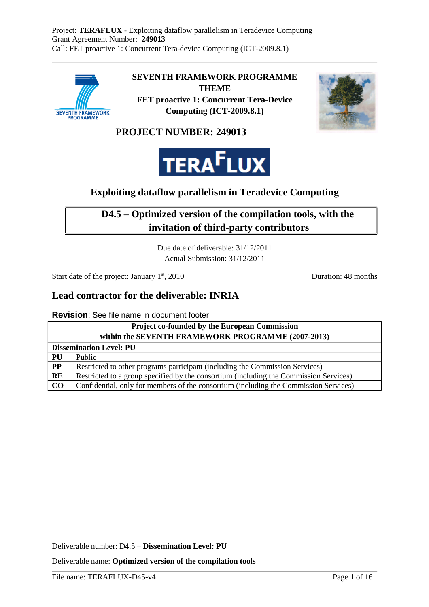

**SEVENTH FRAMEWORK PROGRAMME THEME FET proactive 1: Concurrent Tera-Device Computing (ICT-2009.8.1)**



**PROJECT NUMBER: 249013**



## **Exploiting dataflow parallelism in Teradevice Computing**

### **D4.5 – Optimized version of the compilation tools, with the invitation of third-party contributors**

Due date of deliverable: 31/12/2011 Actual Submission: 31/12/2011

Start date of the project: January 1<sup>st</sup>, 2010 Duration: 48 months

### **Lead contractor for the deliverable: INRIA**

**Revision**: See file name in document footer.

| <b>Project co-founded by the European Commission</b><br>within the SEVENTH FRAMEWORK PROGRAMME (2007-2013) |                                                                                       |  |  |  |
|------------------------------------------------------------------------------------------------------------|---------------------------------------------------------------------------------------|--|--|--|
| <b>Dissemination Level: PU</b>                                                                             |                                                                                       |  |  |  |
| PU                                                                                                         | Public                                                                                |  |  |  |
| PP                                                                                                         | Restricted to other programs participant (including the Commission Services)          |  |  |  |
| <b>RE</b>                                                                                                  | Restricted to a group specified by the consortium (including the Commission Services) |  |  |  |
| $\bf CO$                                                                                                   | Confidential, only for members of the consortium (including the Commission Services)  |  |  |  |

Deliverable number: D4.5 – **Dissemination Level: PU**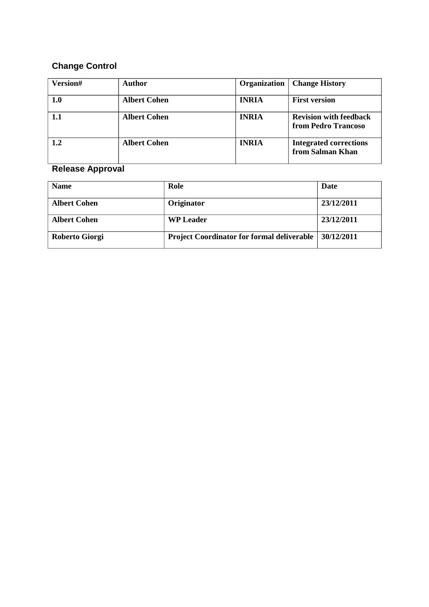### **Change Control**

| Version# | <b>Author</b>       | Organization | <b>Change History</b>                                |
|----------|---------------------|--------------|------------------------------------------------------|
| 1.0      | <b>Albert Cohen</b> | <b>INRIA</b> | <b>First version</b>                                 |
| 1.1      | <b>Albert Cohen</b> | <b>INRIA</b> | <b>Revision with feedback</b><br>from Pedro Trancoso |
| 1.2      | <b>Albert Cohen</b> | <b>INRIA</b> | <b>Integrated corrections</b><br>from Salman Khan    |

## **Release Approval**

| <b>Name</b>         | Role                                              | Date       |
|---------------------|---------------------------------------------------|------------|
| <b>Albert Cohen</b> | Originator                                        | 23/12/2011 |
| <b>Albert Cohen</b> | <b>WP</b> Leader                                  | 23/12/2011 |
| Roberto Giorgi      | <b>Project Coordinator for formal deliverable</b> | 30/12/2011 |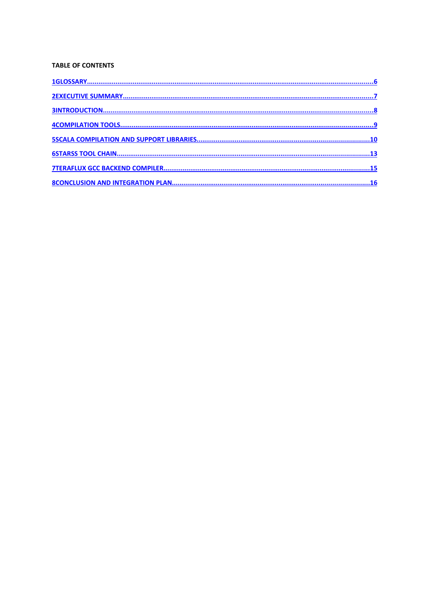#### **TABLE OF CONTENTS**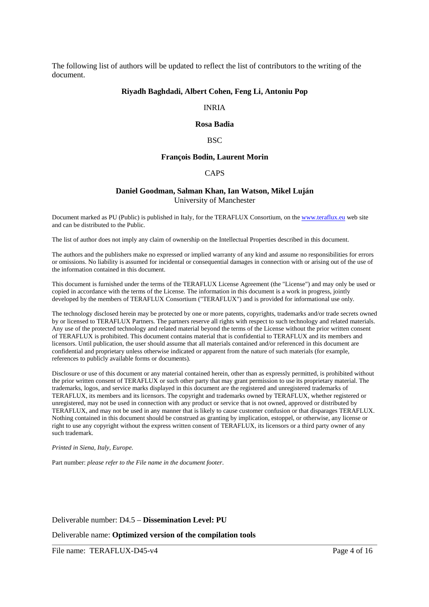The following list of authors will be updated to reflect the list of contributors to the writing of the document.

#### **Riyadh Baghdadi, Albert Cohen, Feng Li, Antoniu Pop**

#### INRIA

#### **Rosa Badia**

#### **BSC**

#### **François Bodin, Laurent Morin**

#### CAPS

#### **Daniel Goodman, Salman Khan, Ian Watson, Mikel Luján** University of Manchester

Document marked as PU (Public) is published in Italy, for the TERAFLUX Consortium, on the www.teraflux.eu web site and can be distributed to the Public.

The list of author does not imply any claim of ownership on the Intellectual Properties described in this document.

The authors and the publishers make no expressed or implied warranty of any kind and assume no responsibilities for errors or omissions. No liability is assumed for incidental or consequential damages in connection with or arising out of the use of the information contained in this document.

This document is furnished under the terms of the TERAFLUX License Agreement (the "License") and may only be used or copied in accordance with the terms of the License. The information in this document is a work in progress, jointly developed by the members of TERAFLUX Consortium ("TERAFLUX") and is provided for informational use only.

The technology disclosed herein may be protected by one or more patents, copyrights, trademarks and/or trade secrets owned by or licensed to TERAFLUX Partners. The partners reserve all rights with respect to such technology and related materials. Any use of the protected technology and related material beyond the terms of the License without the prior written consent of TERAFLUX is prohibited. This document contains material that is confidential to TERAFLUX and its members and licensors. Until publication, the user should assume that all materials contained and/or referenced in this document are confidential and proprietary unless otherwise indicated or apparent from the nature of such materials (for example, references to publicly available forms or documents).

Disclosure or use of this document or any material contained herein, other than as expressly permitted, is prohibited without the prior written consent of TERAFLUX or such other party that may grant permission to use its proprietary material. The trademarks, logos, and service marks displayed in this document are the registered and unregistered trademarks of TERAFLUX, its members and its licensors. The copyright and trademarks owned by TERAFLUX, whether registered or unregistered, may not be used in connection with any product or service that is not owned, approved or distributed by TERAFLUX, and may not be used in any manner that is likely to cause customer confusion or that disparages TERAFLUX. Nothing contained in this document should be construed as granting by implication, estoppel, or otherwise, any license or right to use any copyright without the express written consent of TERAFLUX, its licensors or a third party owner of any such trademark.

#### *Printed in Siena, Italy, Europe.*

Part number: *please refer to the File name in the document footer*.

#### Deliverable number: D4.5 – **Dissemination Level: PU**

Deliverable name: **Optimized version of the compilation tools**

File name: TERAFLUX-D45-v4 Page 4 of 16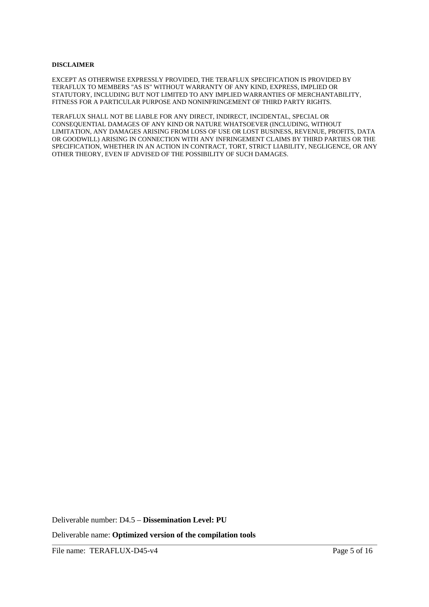#### **DISCLAIMER**

EXCEPT AS OTHERWISE EXPRESSLY PROVIDED, THE TERAFLUX SPECIFICATION IS PROVIDED BY TERAFLUX TO MEMBERS "AS IS" WITHOUT WARRANTY OF ANY KIND, EXPRESS, IMPLIED OR STATUTORY, INCLUDING BUT NOT LIMITED TO ANY IMPLIED WARRANTIES OF MERCHANTABILITY, FITNESS FOR A PARTICULAR PURPOSE AND NONINFRINGEMENT OF THIRD PARTY RIGHTS.

TERAFLUX SHALL NOT BE LIABLE FOR ANY DIRECT, INDIRECT, INCIDENTAL, SPECIAL OR CONSEQUENTIAL DAMAGES OF ANY KIND OR NATURE WHATSOEVER (INCLUDING, WITHOUT LIMITATION, ANY DAMAGES ARISING FROM LOSS OF USE OR LOST BUSINESS, REVENUE, PROFITS, DATA OR GOODWILL) ARISING IN CONNECTION WITH ANY INFRINGEMENT CLAIMS BY THIRD PARTIES OR THE SPECIFICATION, WHETHER IN AN ACTION IN CONTRACT, TORT, STRICT LIABILITY, NEGLIGENCE, OR ANY OTHER THEORY, EVEN IF ADVISED OF THE POSSIBILITY OF SUCH DAMAGES.

Deliverable number: D4.5 – **Dissemination Level: PU**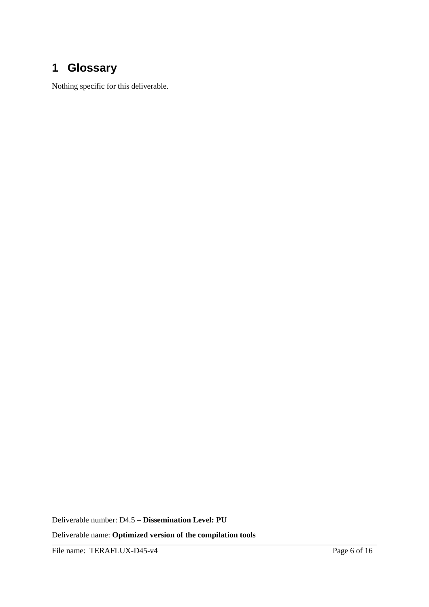# **1 Glossary**

Nothing specific for this deliverable.

Deliverable number: D4.5 – **Dissemination Level: PU**

Deliverable name: **Optimized version of the compilation tools**

File name: TERAFLUX-D45-v4 Page 6 of 16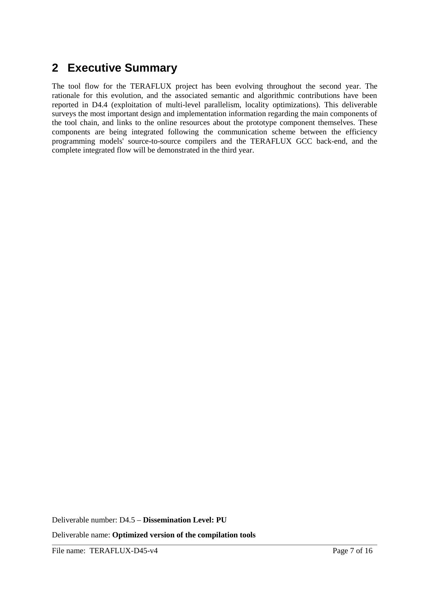## **2 Executive Summary**

The tool flow for the TERAFLUX project has been evolving throughout the second year. The rationale for this evolution, and the associated semantic and algorithmic contributions have been reported in D4.4 (exploitation of multi-level parallelism, locality optimizations). This deliverable surveys the most important design and implementation information regarding the main components of the tool chain, and links to the online resources about the prototype component themselves. These components are being integrated following the communication scheme between the efficiency programming models' source-to-source compilers and the TERAFLUX GCC back-end, and the complete integrated flow will be demonstrated in the third year.

Deliverable number: D4.5 – **Dissemination Level: PU**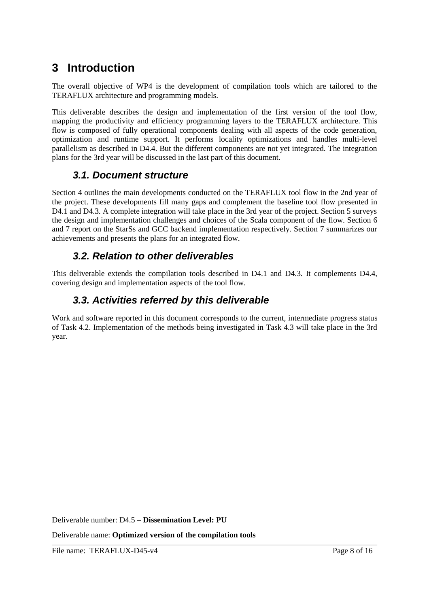# **3 Introduction**

The overall objective of WP4 is the development of compilation tools which are tailored to the TERAFLUX architecture and programming models.

This deliverable describes the design and implementation of the first version of the tool flow, mapping the productivity and efficiency programming layers to the TERAFLUX architecture. This flow is composed of fully operational components dealing with all aspects of the code generation, optimization and runtime support. It performs locality optimizations and handles multi-level parallelism as described in D4.4. But the different components are not yet integrated. The integration plans for the 3rd year will be discussed in the last part of this document.

### **3.1. Document structure**

Section 4 outlines the main developments conducted on the TERAFLUX tool flow in the 2nd year of the project. These developments fill many gaps and complement the baseline tool flow presented in D4.1 and D4.3. A complete integration will take place in the 3rd year of the project. Section 5 surveys the design and implementation challenges and choices of the Scala component of the flow. Section 6 and 7 report on the StarSs and GCC backend implementation respectively. Section 7 summarizes our achievements and presents the plans for an integrated flow.

## **3.2. Relation to other deliverables**

This deliverable extends the compilation tools described in D4.1 and D4.3. It complements D4.4, covering design and implementation aspects of the tool flow.

### **3.3. Activities referred by this deliverable**

Work and software reported in this document corresponds to the current, intermediate progress status of Task 4.2. Implementation of the methods being investigated in Task 4.3 will take place in the 3rd year.

Deliverable number: D4.5 – **Dissemination Level: PU**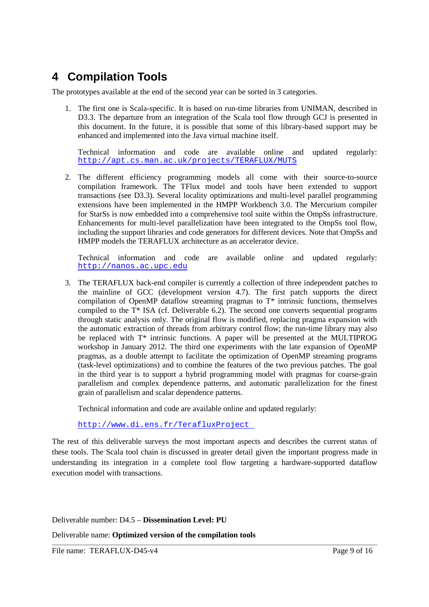# **4 Compilation Tools**

The prototypes available at the end of the second year can be sorted in 3 categories.

1. The first one is Scala-specific. It is based on run-time libraries from UNIMAN, described in D3.3. The departure from an integration of the Scala tool flow through GCJ is presented in this document. In the future, it is possible that some of this library-based support may be enhanced and implemented into the Java virtual machine itself.

Technical information and code are available online and updated regularly: http://apt.cs.man.ac.uk/projects/TERAFLUX/MUTS

2. The different efficiency programming models all come with their source-to-source compilation framework. The TFlux model and tools have been extended to support transactions (see D3.3). Several locality optimizations and multi-level parallel programming extensions have been implemented in the HMPP Workbench 3.0. The Mercurium compiler for StarSs is now embedded into a comprehensive tool suite within the OmpSs infrastructure. Enhancements for multi-level parallelization have been integrated to the OmpSs tool flow, including the support libraries and code generators for different devices. Note that OmpSs and HMPP models the TERAFLUX architecture as an accelerator device.

Technical information and code are available online and updated regularly: http://nanos.ac.upc.edu

3. The TERAFLUX back-end compiler is currently a collection of three independent patches to the mainline of GCC (development version 4.7). The first patch supports the direct compilation of OpenMP dataflow streaming pragmas to  $T^*$  intrinsic functions, themselves compiled to the T\* ISA (cf. Deliverable 6.2). The second one converts sequential programs through static analysis only. The original flow is modified, replacing pragma expansion with the automatic extraction of threads from arbitrary control flow; the run-time library may also be replaced with T\* intrinsic functions. A paper will be presented at the MULTIPROG workshop in January 2012. The third one experiments with the late expansion of OpenMP pragmas, as a double attempt to facilitate the optimization of OpenMP streaming programs (task-level optimizations) and to combine the features of the two previous patches. The goal in the third year is to support a hybrid programming model with pragmas for coarse-grain parallelism and complex dependence patterns, and automatic parallelization for the finest grain of parallelism and scalar dependence patterns.

Technical information and code are available online and updated regularly:

http://www.di.ens.fr/TerafluxProject

The rest of this deliverable surveys the most important aspects and describes the current status of these tools. The Scala tool chain is discussed in greater detail given the important progress made in understanding its integration in a complete tool flow targeting a hardware-supported dataflow execution model with transactions.

Deliverable number: D4.5 – **Dissemination Level: PU**

Deliverable name: **Optimized version of the compilation tools**

File name: TERAFLUX-D45-v4 Page 9 of 16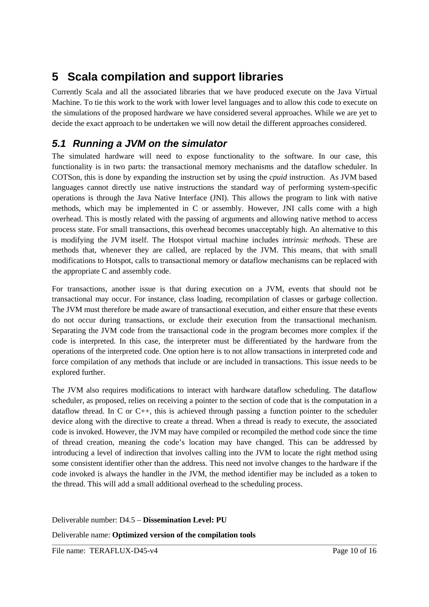# **5 Scala compilation and support libraries**

Currently Scala and all the associated libraries that we have produced execute on the Java Virtual Machine. To tie this work to the work with lower level languages and to allow this code to execute on the simulations of the proposed hardware we have considered several approaches. While we are yet to decide the exact approach to be undertaken we will now detail the different approaches considered.

## **5.1 Running a JVM on the simulator**

The simulated hardware will need to expose functionality to the software. In our case, this functionality is in two parts: the transactional memory mechanisms and the dataflow scheduler. In COTSon, this is done by expanding the instruction set by using the *cpuid* instruction. As JVM based languages cannot directly use native instructions the standard way of performing system-specific operations is through the Java Native Interface (JNI). This allows the program to link with native methods, which may be implemented in C or assembly. However, JNI calls come with a high overhead. This is mostly related with the passing of arguments and allowing native method to access process state. For small transactions, this overhead becomes unacceptably high. An alternative to this is modifying the JVM itself. The Hotspot virtual machine includes *intrinsic methods*. These are methods that, whenever they are called, are replaced by the JVM. This means, that with small modifications to Hotspot, calls to transactional memory or dataflow mechanisms can be replaced with the appropriate C and assembly code.

For transactions, another issue is that during execution on a JVM, events that should not be transactional may occur. For instance, class loading, recompilation of classes or garbage collection. The JVM must therefore be made aware of transactional execution, and either ensure that these events do not occur during transactions, or exclude their execution from the transactional mechanism. Separating the JVM code from the transactional code in the program becomes more complex if the code is interpreted. In this case, the interpreter must be differentiated by the hardware from the operations of the interpreted code. One option here is to not allow transactions in interpreted code and force compilation of any methods that include or are included in transactions. This issue needs to be explored further.

The JVM also requires modifications to interact with hardware dataflow scheduling. The dataflow scheduler, as proposed, relies on receiving a pointer to the section of code that is the computation in a dataflow thread. In C or C++, this is achieved through passing a function pointer to the scheduler device along with the directive to create a thread. When a thread is ready to execute, the associated code is invoked. However, the JVM may have compiled or recompiled the method code since the time of thread creation, meaning the code's location may have changed. This can be addressed by introducing a level of indirection that involves calling into the JVM to locate the right method using some consistent identifier other than the address. This need not involve changes to the hardware if the code invoked is always the handler in the JVM, the method identifier may be included as a token to the thread. This will add a small additional overhead to the scheduling process.

Deliverable number: D4.5 – **Dissemination Level: PU** Deliverable name: **Optimized version of the compilation tools**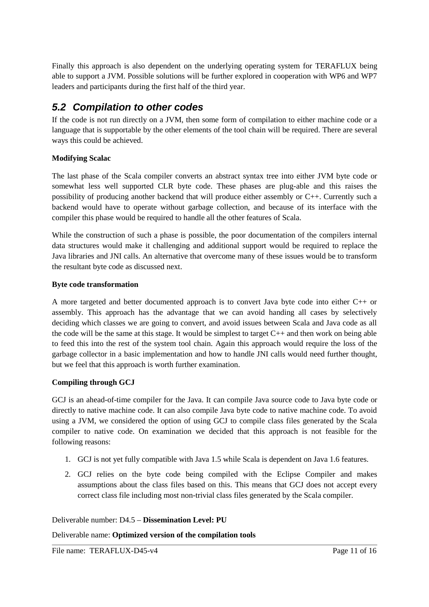Finally this approach is also dependent on the underlying operating system for TERAFLUX being able to support a JVM. Possible solutions will be further explored in cooperation with WP6 and WP7 leaders and participants during the first half of the third year.

### **5.2 Compilation to other codes**

If the code is not run directly on a JVM, then some form of compilation to either machine code or a language that is supportable by the other elements of the tool chain will be required. There are several ways this could be achieved.

### **Modifying Scalac**

The last phase of the Scala compiler converts an abstract syntax tree into either JVM byte code or somewhat less well supported CLR byte code. These phases are plug-able and this raises the possibility of producing another backend that will produce either assembly or C++. Currently such a backend would have to operate without garbage collection, and because of its interface with the compiler this phase would be required to handle all the other features of Scala.

While the construction of such a phase is possible, the poor documentation of the compilers internal data structures would make it challenging and additional support would be required to replace the Java libraries and JNI calls. An alternative that overcome many of these issues would be to transform the resultant byte code as discussed next.

### **Byte code transformation**

A more targeted and better documented approach is to convert Java byte code into either C++ or assembly. This approach has the advantage that we can avoid handing all cases by selectively deciding which classes we are going to convert, and avoid issues between Scala and Java code as all the code will be the same at this stage. It would be simplest to target C++ and then work on being able to feed this into the rest of the system tool chain. Again this approach would require the loss of the garbage collector in a basic implementation and how to handle JNI calls would need further thought, but we feel that this approach is worth further examination.

### **Compiling through GCJ**

GCJ is an ahead-of-time compiler for the Java. It can compile Java source code to Java byte code or directly to native machine code. It can also compile Java byte code to native machine code. To avoid using a JVM, we considered the option of using GCJ to compile class files generated by the Scala compiler to native code. On examination we decided that this approach is not feasible for the following reasons:

- 1. GCJ is not yet fully compatible with Java 1.5 while Scala is dependent on Java 1.6 features.
- 2. GCJ relies on the byte code being compiled with the Eclipse Compiler and makes assumptions about the class files based on this. This means that GCJ does not accept every correct class file including most non-trivial class files generated by the Scala compiler.

### Deliverable number: D4.5 – **Dissemination Level: PU**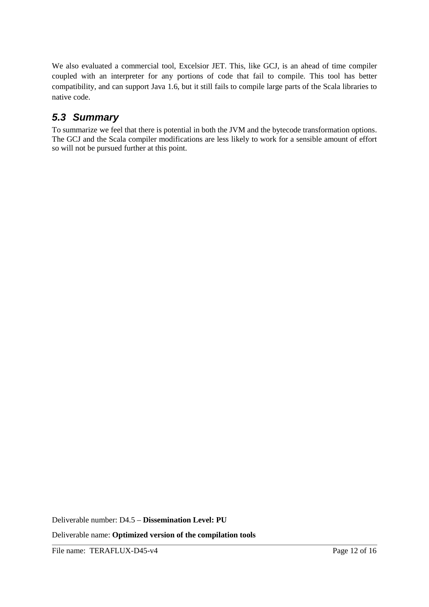We also evaluated a commercial tool, Excelsior JET. This, like GCJ, is an ahead of time compiler coupled with an interpreter for any portions of code that fail to compile. This tool has better compatibility, and can support Java 1.6, but it still fails to compile large parts of the Scala libraries to native code.

## **5.3 Summary**

To summarize we feel that there is potential in both the JVM and the bytecode transformation options. The GCJ and the Scala compiler modifications are less likely to work for a sensible amount of effort so will not be pursued further at this point.

Deliverable number: D4.5 – **Dissemination Level: PU**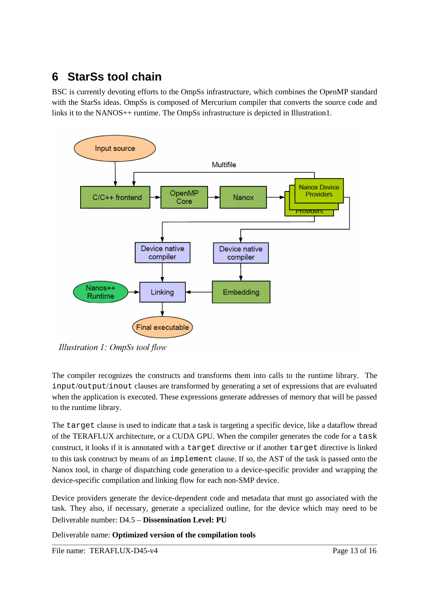# **6 StarSs tool chain**

BSC is currently devoting efforts to the OmpSs infrastructure, which combines the OpenMP standard with the StarSs ideas. OmpSs is composed of Mercurium compiler that converts the source code and links it to the NANOS++ runtime. The OmpSs infrastructure is depicted in Illustration1.



Illustration 1: OmpSs tool flow

The compiler recognizes the constructs and transforms them into calls to the runtime library. The input/output/inout clauses are transformed by generating a set of expressions that are evaluated when the application is executed. These expressions generate addresses of memory that will be passed to the runtime library.

The target clause is used to indicate that a task is targeting a specific device, like a dataflow thread of the TERAFLUX architecture, or a CUDA GPU. When the compiler generates the code for a task construct, it looks if it is annotated with a target directive or if another target directive is linked to this task construct by means of an implement clause. If so, the AST of the task is passed onto the Nanox tool, in charge of dispatching code generation to a device-specific provider and wrapping the device-specific compilation and linking flow for each non-SMP device.

Device providers generate the device-dependent code and metadata that must go associated with the task. They also, if necessary, generate a specialized outline, for the device which may need to be Deliverable number: D4.5 – **Dissemination Level: PU**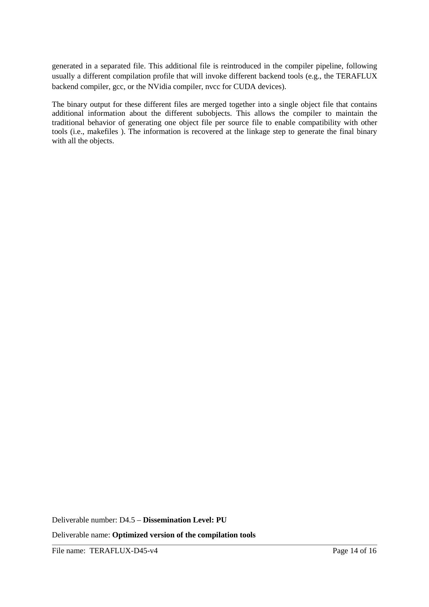generated in a separated file. This additional file is reintroduced in the compiler pipeline, following usually a different compilation profile that will invoke different backend tools (e.g., the TERAFLUX backend compiler, gcc, or the NVidia compiler, nvcc for CUDA devices).

The binary output for these different files are merged together into a single object file that contains additional information about the different subobjects. This allows the compiler to maintain the traditional behavior of generating one object file per source file to enable compatibility with other tools (i.e., makefiles ). The information is recovered at the linkage step to generate the final binary with all the objects.

Deliverable number: D4.5 – **Dissemination Level: PU**

Deliverable name: **Optimized version of the compilation tools**

File name: TERAFLUX-D45-v4 Page 14 of 16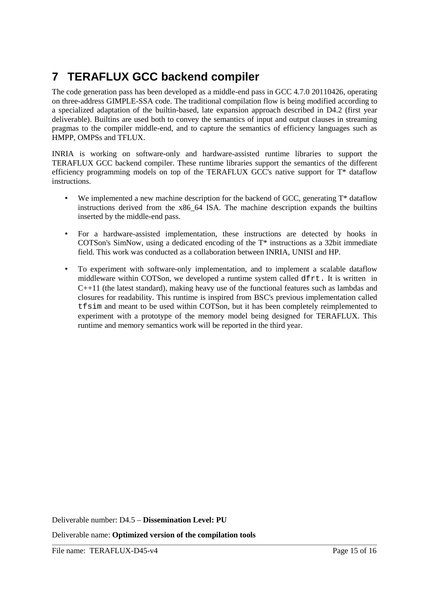# **7 TERAFLUX GCC backend compiler**

The code generation pass has been developed as a middle-end pass in GCC 4.7.0 20110426, operating on three-address GIMPLE-SSA code. The traditional compilation flow is being modified according to a specialized adaptation of the builtin-based, late expansion approach described in D4.2 (first year deliverable). Builtins are used both to convey the semantics of input and output clauses in streaming pragmas to the compiler middle-end, and to capture the semantics of efficiency languages such as HMPP, OMPSs and TFLUX.

INRIA is working on software-only and hardware-assisted runtime libraries to support the TERAFLUX GCC backend compiler. These runtime libraries support the semantics of the different efficiency programming models on top of the TERAFLUX GCC's native support for T\* dataflow instructions.

- We implemented a new machine description for the backend of GCC, generating  $T^*$  dataflow instructions derived from the x86\_64 ISA. The machine description expands the builtins inserted by the middle-end pass.
- For a hardware-assisted implementation, these instructions are detected by hooks in COTSon's SimNow, using a dedicated encoding of the T\* instructions as a 32bit immediate field. This work was conducted as a collaboration between INRIA, UNISI and HP.
- To experiment with software-only implementation, and to implement a scalable dataflow middleware within COTSon, we developed a runtime system called dfrt. It is written in C++11 (the latest standard), making heavy use of the functional features such as lambdas and closures for readability. This runtime is inspired from BSC's previous implementation called tfsim and meant to be used within COTSon, but it has been completely reimplemented to experiment with a prototype of the memory model being designed for TERAFLUX. This runtime and memory semantics work will be reported in the third year.

Deliverable number: D4.5 – **Dissemination Level: PU**